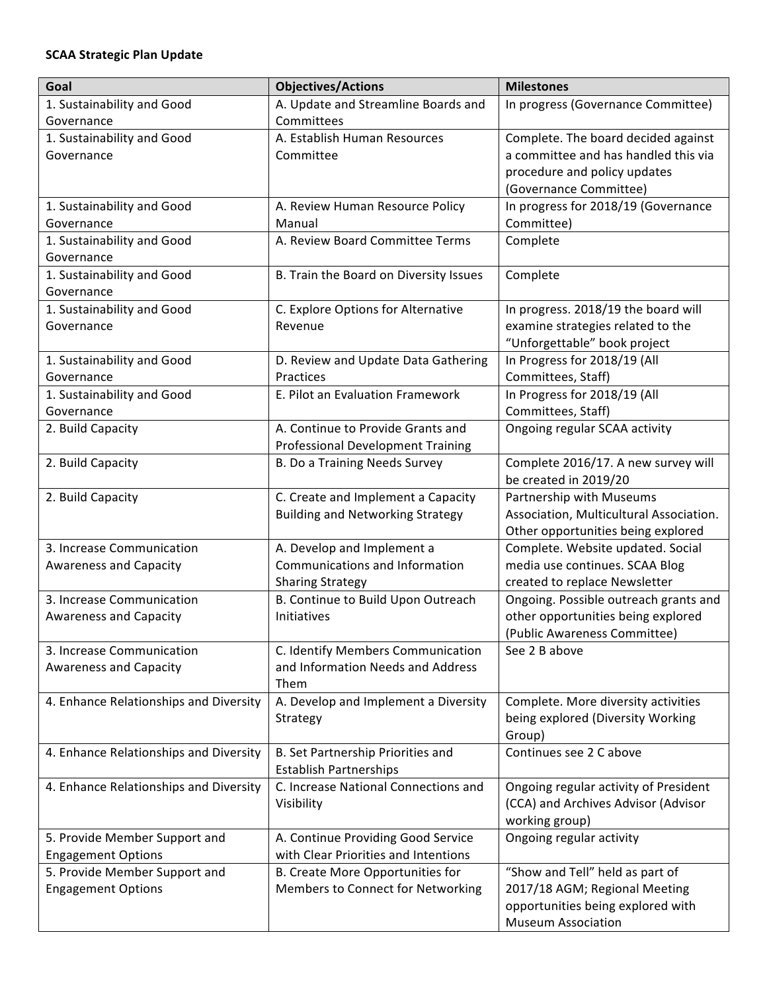## **SCAA Strategic Plan Update**

| Goal                                   | <b>Objectives/Actions</b>                    | <b>Milestones</b>                           |
|----------------------------------------|----------------------------------------------|---------------------------------------------|
| 1. Sustainability and Good             | A. Update and Streamline Boards and          | In progress (Governance Committee)          |
| Governance                             | Committees                                   |                                             |
| 1. Sustainability and Good             | A. Establish Human Resources                 | Complete. The board decided against         |
| Governance                             | Committee                                    | a committee and has handled this via        |
|                                        |                                              | procedure and policy updates                |
|                                        |                                              | (Governance Committee)                      |
| 1. Sustainability and Good             | A. Review Human Resource Policy              | In progress for 2018/19 (Governance         |
| Governance                             | Manual                                       | Committee)                                  |
| 1. Sustainability and Good             | A. Review Board Committee Terms              | Complete                                    |
| Governance                             |                                              |                                             |
| 1. Sustainability and Good             | B. Train the Board on Diversity Issues       | Complete                                    |
| Governance                             |                                              |                                             |
| 1. Sustainability and Good             | C. Explore Options for Alternative           | In progress. 2018/19 the board will         |
| Governance                             | Revenue                                      | examine strategies related to the           |
|                                        |                                              | "Unforgettable" book project                |
| 1. Sustainability and Good             | D. Review and Update Data Gathering          | In Progress for 2018/19 (All                |
| Governance                             | Practices                                    | Committees, Staff)                          |
| 1. Sustainability and Good             | E. Pilot an Evaluation Framework             | In Progress for 2018/19 (All                |
| Governance                             |                                              | Committees, Staff)                          |
| 2. Build Capacity                      | A. Continue to Provide Grants and            | Ongoing regular SCAA activity               |
|                                        | <b>Professional Development Training</b>     |                                             |
| 2. Build Capacity                      | B. Do a Training Needs Survey                | Complete 2016/17. A new survey will         |
|                                        |                                              | be created in 2019/20                       |
| 2. Build Capacity                      | C. Create and Implement a Capacity           | Partnership with Museums                    |
|                                        | <b>Building and Networking Strategy</b>      | Association, Multicultural Association.     |
|                                        |                                              | Other opportunities being explored          |
| 3. Increase Communication              | A. Develop and Implement a                   | Complete. Website updated. Social           |
| <b>Awareness and Capacity</b>          | Communications and Information               | media use continues. SCAA Blog              |
|                                        | <b>Sharing Strategy</b>                      | created to replace Newsletter               |
| 3. Increase Communication              | B. Continue to Build Upon Outreach           | Ongoing. Possible outreach grants and       |
| <b>Awareness and Capacity</b>          | Initiatives                                  | other opportunities being explored          |
|                                        |                                              | (Public Awareness Committee)                |
| 3. Increase Communication              | C. Identify Members Communication            | See 2 B above                               |
| <b>Awareness and Capacity</b>          | and Information Needs and Address            |                                             |
| 4. Enhance Relationships and Diversity | Them<br>A. Develop and Implement a Diversity |                                             |
|                                        |                                              | Complete. More diversity activities         |
|                                        | Strategy                                     | being explored (Diversity Working<br>Group) |
| 4. Enhance Relationships and Diversity | B. Set Partnership Priorities and            | Continues see 2 C above                     |
|                                        | <b>Establish Partnerships</b>                |                                             |
| 4. Enhance Relationships and Diversity | C. Increase National Connections and         | Ongoing regular activity of President       |
|                                        | Visibility                                   | (CCA) and Archives Advisor (Advisor         |
|                                        |                                              | working group)                              |
| 5. Provide Member Support and          | A. Continue Providing Good Service           | Ongoing regular activity                    |
| <b>Engagement Options</b>              | with Clear Priorities and Intentions         |                                             |
| 5. Provide Member Support and          | B. Create More Opportunities for             | "Show and Tell" held as part of             |
| <b>Engagement Options</b>              | Members to Connect for Networking            | 2017/18 AGM; Regional Meeting               |
|                                        |                                              | opportunities being explored with           |
|                                        |                                              | <b>Museum Association</b>                   |